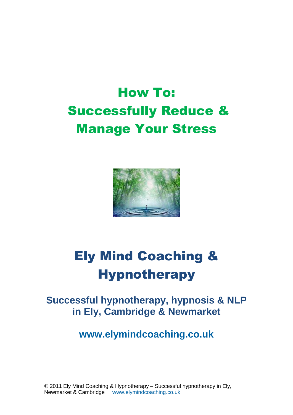# How To: Successfully Reduce & Manage Your Stress



# Ely Mind Coaching & **Hypnotherapy**

# **Successful hypnotherapy, hypnosis & NLP in Ely, Cambridge & Newmarket**

**[www.elymindcoaching.co.uk](http://www.elymindcoaching.co.uk/)**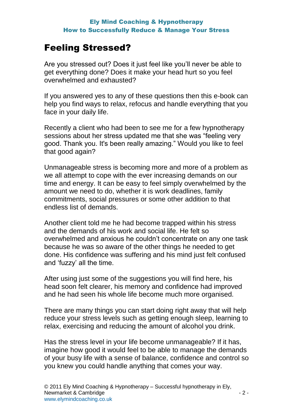# Feeling Stressed?

Are you stressed out? Does it just feel like you'll never be able to get everything done? Does it make your head hurt so you feel overwhelmed and exhausted?

If you answered yes to any of these questions then this e-book can help you find ways to relax, refocus and handle everything that you face in your daily life.

Recently a client who had been to see me for a few hypnotherapy sessions about her stress updated me that she was "feeling very good. Thank you. It's been really amazing." Would you like to feel that good again?

Unmanageable stress is becoming more and more of a problem as we all attempt to cope with the ever increasing demands on our time and energy. It can be easy to feel simply overwhelmed by the amount we need to do, whether it is work deadlines, family commitments, social pressures or some other addition to that endless list of demands.

Another client told me he had become trapped within his stress and the demands of his work and social life. He felt so overwhelmed and anxious he couldn't concentrate on any one task because he was so aware of the other things he needed to get done. His confidence was suffering and his mind just felt confused and 'fuzzy' all the time.

After using just some of the suggestions you will find here, his head soon felt clearer, his memory and confidence had improved and he had seen his whole life become much more organised.

There are many things you can start doing right away that will help reduce your stress levels such as getting enough sleep, learning to relax, exercising and reducing the amount of alcohol you drink.

Has the stress level in your life become unmanageable? If it has, imagine how good it would feel to be able to manage the demands of your busy life with a sense of balance, confidence and control so you knew you could handle anything that comes your way.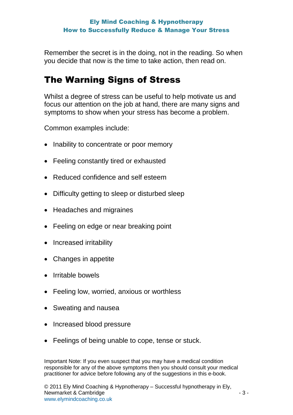Remember the secret is in the doing, not in the reading. So when you decide that now is the time to take action, then read on.

# The Warning Signs of Stress

Whilst a degree of stress can be useful to help motivate us and focus our attention on the job at hand, there are many signs and symptoms to show when your stress has become a problem.

Common examples include:

- Inability to concentrate or poor memory
- Feeling constantly tired or exhausted
- Reduced confidence and self esteem
- Difficulty getting to sleep or disturbed sleep
- Headaches and migraines
- Feeling on edge or near breaking point
- Increased irritability
- Changes in appetite
- Irritable bowels
- Feeling low, worried, anxious or worthless
- Sweating and nausea
- Increased blood pressure
- Feelings of being unable to cope, tense or stuck.

Important Note: If you even suspect that you may have a medical condition responsible for any of the above symptoms then you should consult your medical practitioner for advice before following any of the suggestions in this e-book.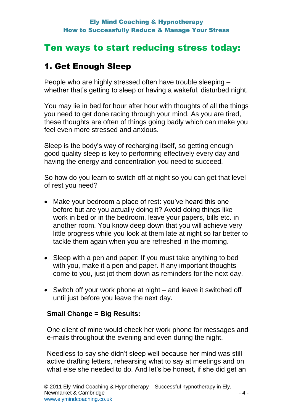# 1. Get Enough Sleep

People who are highly stressed often have trouble sleeping – whether that's getting to sleep or having a wakeful, disturbed night.

You may lie in bed for hour after hour with thoughts of all the things you need to get done racing through your mind. As you are tired, these thoughts are often of things going badly which can make you feel even more stressed and anxious.

Sleep is the body's way of recharging itself, so getting enough good quality sleep is key to performing effectively every day and having the energy and concentration you need to succeed.

So how do you learn to switch off at night so you can get that level of rest you need?

- Make your bedroom a place of rest: you've heard this one before but are you actually doing it? Avoid doing things like work in bed or in the bedroom, leave your papers, bills etc. in another room. You know deep down that you will achieve very little progress while you look at them late at night so far better to tackle them again when you are refreshed in the morning.
- Sleep with a pen and paper: If you must take anything to bed with you, make it a pen and paper. If any important thoughts come to you, just jot them down as reminders for the next day.
- Switch off your work phone at night and leave it switched off until just before you leave the next day.

### **Small Change = Big Results:**

One client of mine would check her work phone for messages and e-mails throughout the evening and even during the night.

Needless to say she didn't sleep well because her mind was still active drafting letters, rehearsing what to say at meetings and on what else she needed to do. And let's be honest, if she did get an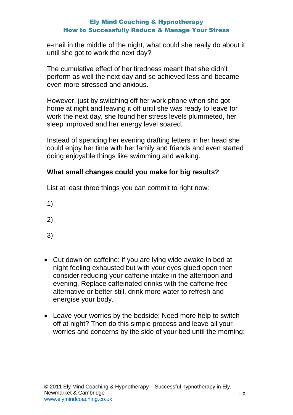e-mail in the middle of the night, what could she really do about it until she got to work the next day?

The cumulative effect of her tiredness meant that she didn't perform as well the next day and so achieved less and became even more stressed and anxious.

However, just by switching off her work phone when she got home at night and leaving it off until she was ready to leave for work the next day, she found her stress levels plummeted, her sleep improved and her energy level soared.

Instead of spending her evening drafting letters in her head she could enjoy her time with her family and friends and even started doing enjoyable things like swimming and walking.

### **What small changes could you make for big results?**

List at least three things you can commit to right now:

- 1)
- 2)
- 3)
- Cut down on caffeine: if you are lying wide awake in bed at night feeling exhausted but with your eyes glued open then consider reducing your caffeine intake in the afternoon and evening. Replace caffeinated drinks with the caffeine free alternative or better still, drink more water to refresh and energise your body.
- Leave your worries by the bedside: Need more help to switch off at night? Then do this simple process and leave all your worries and concerns by the side of your bed until the morning: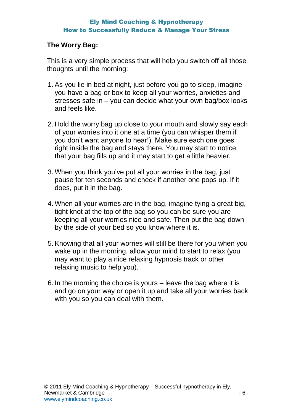#### **The Worry Bag:**

This is a very simple process that will help you switch off all those thoughts until the morning:

- 1. As you lie in bed at night, just before you go to sleep, imagine you have a bag or box to keep all your worries, anxieties and stresses safe in – you can decide what your own bag/box looks and feels like.
- 2. Hold the worry bag up close to your mouth and slowly say each of your worries into it one at a time (you can whisper them if you don't want anyone to hear!). Make sure each one goes right inside the bag and stays there. You may start to notice that your bag fills up and it may start to get a little heavier.
- 3. When you think you've put all your worries in the bag, just pause for ten seconds and check if another one pops up. If it does, put it in the bag.
- 4. When all your worries are in the bag, imagine tying a great big, tight knot at the top of the bag so you can be sure you are keeping all your worries nice and safe. Then put the bag down by the side of your bed so you know where it is.
- 5. Knowing that all your worries will still be there for you when you wake up in the morning, allow your mind to start to relax (you may want to play a nice relaxing hypnosis track or other relaxing music to help you).
- 6. In the morning the choice is yours leave the bag where it is and go on your way or open it up and take all your worries back with you so you can deal with them.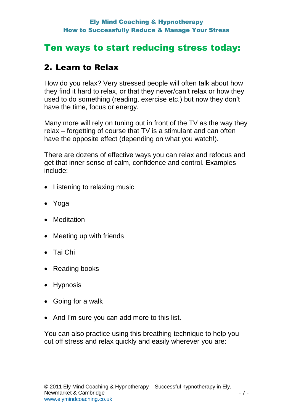### Ten ways to start reducing stress today:

### 2. Learn to Relax

How do you relax? Very stressed people will often talk about how they find it hard to relax, or that they never/can't relax or how they used to do something (reading, exercise etc.) but now they don't have the time, focus or energy.

Many more will rely on tuning out in front of the TV as the way they relax – forgetting of course that TV is a stimulant and can often have the opposite effect (depending on what you watch!).

There are dozens of effective ways you can relax and refocus and get that inner sense of calm, confidence and control. Examples include:

- Listening to relaxing music
- Yoga
- Meditation
- Meeting up with friends
- Tai Chi
- Reading books
- Hypnosis
- Going for a walk
- And I'm sure you can add more to this list.

You can also practice using this breathing technique to help you cut off stress and relax quickly and easily wherever you are: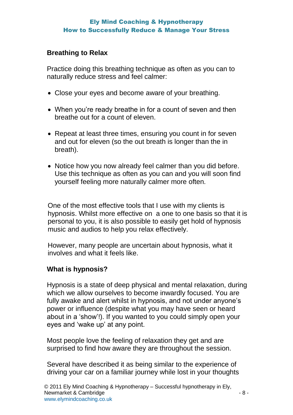#### **Breathing to Relax**

Practice doing this breathing technique as often as you can to naturally reduce stress and feel calmer:

- Close your eyes and become aware of your breathing.
- When you're ready breathe in for a count of seven and then breathe out for a count of eleven.
- Repeat at least three times, ensuring you count in for seven and out for eleven (so the out breath is longer than the in breath).
- Notice how you now already feel calmer than you did before. Use this technique as often as you can and you will soon find yourself feeling more naturally calmer more often.

One of the most effective tools that I use with my clients is hypnosis. Whilst more effective on a one to one basis so that it is personal to you, it is also possible to easily get hold of hypnosis music and audios to help you relax effectively.

However, many people are uncertain about hypnosis, what it involves and what it feels like.

#### **What is hypnosis?**

Hypnosis is a state of deep physical and mental relaxation, during which we allow ourselves to become inwardly focused. You are fully awake and alert whilst in hypnosis, and not under anyone's power or influence (despite what you may have seen or heard about in a 'show'!). If you wanted to you could simply open your eyes and 'wake up' at any point.

Most people love the feeling of relaxation they get and are surprised to find how aware they are throughout the session.

Several have described it as being similar to the experience of driving your car on a familiar journey while lost in your thoughts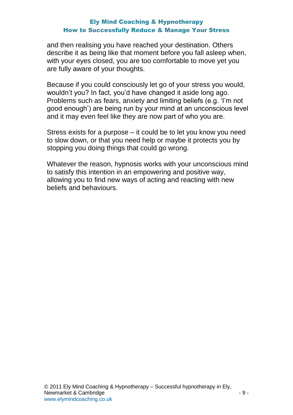and then realising you have reached your destination. Others describe it as being like that moment before you fall asleep when, with your eyes closed, you are too comfortable to move yet you are fully aware of your thoughts.

Because if you could consciously let go of your stress you would, wouldn't you? In fact, you'd have changed it aside long ago. Problems such as fears, anxiety and limiting beliefs (e.g. 'I'm not good enough') are being run by your mind at an unconscious level and it may even feel like they are now part of who you are.

Stress exists for a purpose – it could be to let you know you need to slow down, or that you need help or maybe it protects you by stopping you doing things that could go wrong.

Whatever the reason, hypnosis works with your unconscious mind to satisfy this intention in an empowering and positive way, allowing you to find new ways of acting and reacting with new beliefs and behaviours.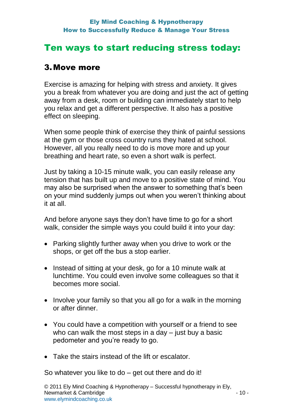### Ten ways to start reducing stress today:

### 3.Move more

Exercise is amazing for helping with stress and anxiety. It gives you a break from whatever you are doing and just the act of getting away from a desk, room or building can immediately start to help you relax and get a different perspective. It also has a positive effect on sleeping.

When some people think of exercise they think of painful sessions at the gym or those cross country runs they hated at school. However, all you really need to do is move more and up your breathing and heart rate, so even a short walk is perfect.

Just by taking a 10-15 minute walk, you can easily release any tension that has built up and move to a positive state of mind. You may also be surprised when the answer to something that's been on your mind suddenly jumps out when you weren't thinking about it at all.

And before anyone says they don't have time to go for a short walk, consider the simple ways you could build it into your day:

- Parking slightly further away when you drive to work or the shops, or get off the bus a stop earlier.
- Instead of sitting at your desk, go for a 10 minute walk at lunchtime. You could even involve some colleagues so that it becomes more social.
- Involve your family so that you all go for a walk in the morning or after dinner.
- You could have a competition with yourself or a friend to see who can walk the most steps in a day – just buy a basic pedometer and you're ready to go.
- Take the stairs instead of the lift or escalator.

So whatever you like to do – get out there and do it!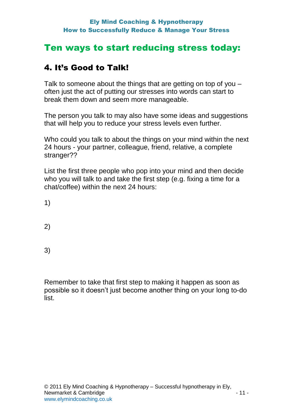### Ten ways to start reducing stress today:

### 4. It's Good to Talk!

Talk to someone about the things that are getting on top of you – often just the act of putting our stresses into words can start to break them down and seem more manageable.

The person you talk to may also have some ideas and suggestions that will help you to reduce your stress levels even further.

Who could you talk to about the things on your mind within the next 24 hours - your partner, colleague, friend, relative, a complete stranger??

List the first three people who pop into your mind and then decide who you will talk to and take the first step (e.g. fixing a time for a chat/coffee) within the next 24 hours:

1)

2)

3)

Remember to take that first step to making it happen as soon as possible so it doesn't just become another thing on your long to-do list.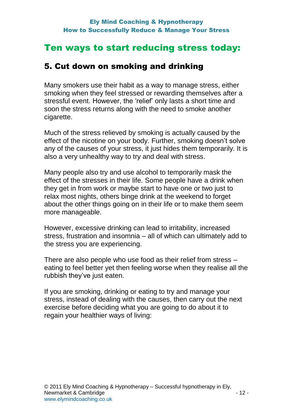### 5. Cut down on smoking and drinking

Many smokers use their habit as a way to manage stress, either smoking when they feel stressed or rewarding themselves after a stressful event. However, the 'relief' only lasts a short time and soon the stress returns along with the need to smoke another cigarette.

Much of the stress relieved by smoking is actually caused by the effect of the nicotine on your body. Further, smoking doesn't solve any of the causes of your stress, it just hides them temporarily. It is also a very unhealthy way to try and deal with stress.

Many people also try and use alcohol to temporarily mask the effect of the stresses in their life. Some people have a drink when they get in from work or maybe start to have one or two just to relax most nights, others binge drink at the weekend to forget about the other things going on in their life or to make them seem more manageable.

However, excessive drinking can lead to irritability, increased stress, frustration and insomnia – all of which can ultimately add to the stress you are experiencing.

There are also people who use food as their relief from stress – eating to feel better yet then feeling worse when they realise all the rubbish they've just eaten.

If you are smoking, drinking or eating to try and manage your stress, instead of dealing with the causes, then carry out the next exercise before deciding what you are going to do about it to regain your healthier ways of living: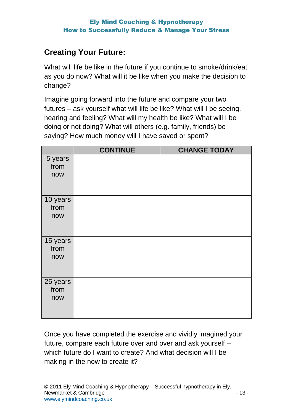### **Creating Your Future:**

What will life be like in the future if you continue to smoke/drink/eat as you do now? What will it be like when you make the decision to change?

Imagine going forward into the future and compare your two futures – ask yourself what will life be like? What will I be seeing, hearing and feeling? What will my health be like? What will I be doing or not doing? What will others (e.g. family, friends) be saying? How much money will I have saved or spent?

|                  | <b>CONTINUE</b> | <b>CHANGE TODAY</b> |
|------------------|-----------------|---------------------|
| 5 years          |                 |                     |
| from             |                 |                     |
| now              |                 |                     |
|                  |                 |                     |
| 10 years         |                 |                     |
| from             |                 |                     |
| now              |                 |                     |
|                  |                 |                     |
|                  |                 |                     |
| 15 years<br>from |                 |                     |
| now              |                 |                     |
|                  |                 |                     |
|                  |                 |                     |
| 25 years         |                 |                     |
| from             |                 |                     |
| now              |                 |                     |
|                  |                 |                     |
|                  |                 |                     |

Once you have completed the exercise and vividly imagined your future, compare each future over and over and ask yourself – which future do I want to create? And what decision will I be making in the now to create it?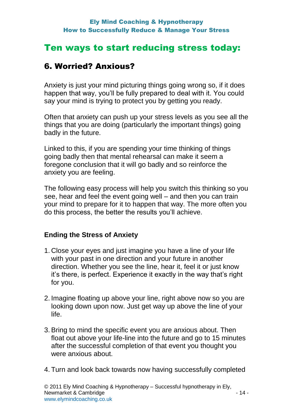### 6. Worried? Anxious?

Anxiety is just your mind picturing things going wrong so, if it does happen that way, you'll be fully prepared to deal with it. You could say your mind is trying to protect you by getting you ready.

Often that anxiety can push up your stress levels as you see all the things that you are doing (particularly the important things) going badly in the future.

Linked to this, if you are spending your time thinking of things going badly then that mental rehearsal can make it seem a foregone conclusion that it will go badly and so reinforce the anxiety you are feeling.

The following easy process will help you switch this thinking so you see, hear and feel the event going well – and then you can train your mind to prepare for it to happen that way. The more often you do this process, the better the results you'll achieve.

### **Ending the Stress of Anxiety**

- 1. Close your eyes and just imagine you have a line of your life with your past in one direction and your future in another direction. Whether you see the line, hear it, feel it or just know it's there, is perfect. Experience it exactly in the way that's right for you.
- 2. Imagine floating up above your line, right above now so you are looking down upon now. Just get way up above the line of your life.
- 3. Bring to mind the specific event you are anxious about. Then float out above your life-line into the future and go to 15 minutes after the successful completion of that event you thought you were anxious about.
- 4. Turn and look back towards now having successfully completed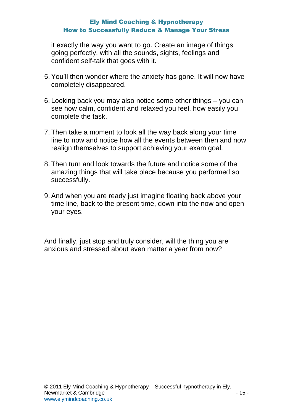it exactly the way you want to go. Create an image of things going perfectly, with all the sounds, sights, feelings and confident self-talk that goes with it.

- 5. You'll then wonder where the anxiety has gone. It will now have completely disappeared.
- 6. Looking back you may also notice some other things you can see how calm, confident and relaxed you feel, how easily you complete the task.
- 7. Then take a moment to look all the way back along your time line to now and notice how all the events between then and now realign themselves to support achieving your exam goal.
- 8. Then turn and look towards the future and notice some of the amazing things that will take place because you performed so successfully.
- 9. And when you are ready just imagine floating back above your time line, back to the present time, down into the now and open your eyes.

And finally, just stop and truly consider, will the thing you are anxious and stressed about even matter a year from now?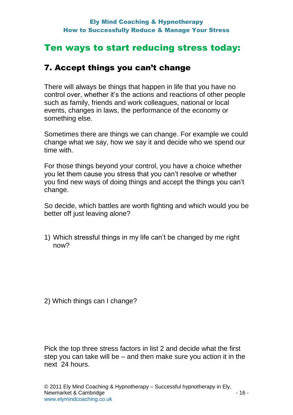### 7. Accept things you can't change

There will always be things that happen in life that you have no control over, whether it's the actions and reactions of other people such as family, friends and work colleagues, national or local events, changes in laws, the performance of the economy or something else.

Sometimes there are things we can change. For example we could change what we say, how we say it and decide who we spend our time with.

For those things beyond your control, you have a choice whether you let them cause you stress that you can't resolve or whether you find new ways of doing things and accept the things you can't change.

So decide, which battles are worth fighting and which would you be better off just leaving alone?

1) Which stressful things in my life can't be changed by me right now?

2) Which things can I change?

Pick the top three stress factors in list 2 and decide what the first step you can take will be – and then make sure you action it in the next 24 hours.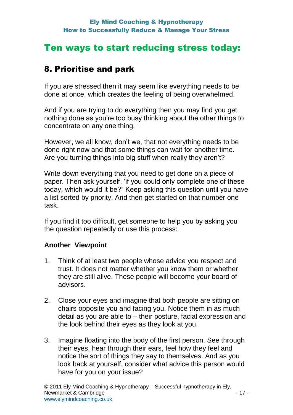### 8. Prioritise and park

If you are stressed then it may seem like everything needs to be done at once, which creates the feeling of being overwhelmed.

And if you are trying to do everything then you may find you get nothing done as you're too busy thinking about the other things to concentrate on any one thing.

However, we all know, don't we, that not everything needs to be done right now and that some things can wait for another time. Are you turning things into big stuff when really they aren't?

Write down everything that you need to get done on a piece of paper. Then ask yourself, 'if you could only complete one of these today, which would it be?" Keep asking this question until you have a list sorted by priority. And then get started on that number one task.

If you find it too difficult, get someone to help you by asking you the question repeatedly or use this process:

### **Another Viewpoint**

- 1. Think of at least two people whose advice you respect and trust. It does not matter whether you know them or whether they are still alive. These people will become your board of advisors.
- 2. Close your eyes and imagine that both people are sitting on chairs opposite you and facing you. Notice them in as much detail as you are able to – their posture, facial expression and the look behind their eyes as they look at you.
- 3. Imagine floating into the body of the first person. See through their eyes, hear through their ears, feel how they feel and notice the sort of things they say to themselves. And as you look back at yourself, consider what advice this person would have for you on your issue?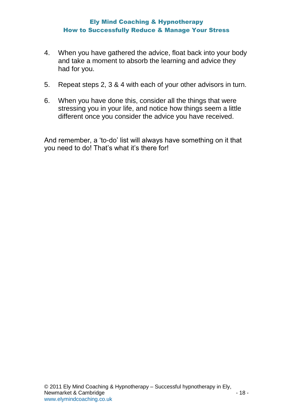- 4. When you have gathered the advice, float back into your body and take a moment to absorb the learning and advice they had for you.
- 5. Repeat steps 2, 3 & 4 with each of your other advisors in turn.
- 6. When you have done this, consider all the things that were stressing you in your life, and notice how things seem a little different once you consider the advice you have received.

And remember, a 'to-do' list will always have something on it that you need to do! That's what it's there for!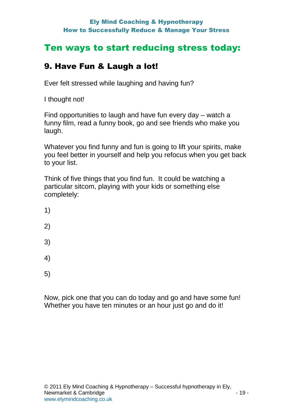# Ten ways to start reducing stress today:

# 9. Have Fun & Laugh a lot!

Ever felt stressed while laughing and having fun?

I thought not!

Find opportunities to laugh and have fun every day – watch a funny film, read a funny book, go and see friends who make you laugh.

Whatever you find funny and fun is going to lift your spirits, make you feel better in yourself and help you refocus when you get back to your list.

Think of five things that you find fun. It could be watching a particular sitcom, playing with your kids or something else completely:

- 1)
- 2)
- 
- 3)
- 
- 4)
- 5)

Now, pick one that you can do today and go and have some fun! Whether you have ten minutes or an hour just go and do it!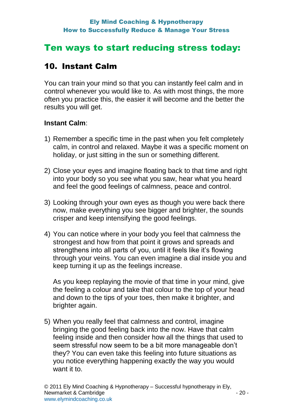### 10. Instant Calm

You can train your mind so that you can instantly feel calm and in control whenever you would like to. As with most things, the more often you practice this, the easier it will become and the better the results you will get.

### **Instant Calm**:

- 1) Remember a specific time in the past when you felt completely calm, in control and relaxed. Maybe it was a specific moment on holiday, or just sitting in the sun or something different.
- 2) Close your eyes and imagine floating back to that time and right into your body so you see what you saw, hear what you heard and feel the good feelings of calmness, peace and control.
- 3) Looking through your own eyes as though you were back there now, make everything you see bigger and brighter, the sounds crisper and keep intensifying the good feelings.
- 4) You can notice where in your body you feel that calmness the strongest and how from that point it grows and spreads and strengthens into all parts of you, until it feels like it's flowing through your veins. You can even imagine a dial inside you and keep turning it up as the feelings increase.

As you keep replaying the movie of that time in your mind, give the feeling a colour and take that colour to the top of your head and down to the tips of your toes, then make it brighter, and brighter again.

5) When you really feel that calmness and control, imagine bringing the good feeling back into the now. Have that calm feeling inside and then consider how all the things that used to seem stressful now seem to be a bit more manageable don't they? You can even take this feeling into future situations as you notice everything happening exactly the way you would want it to.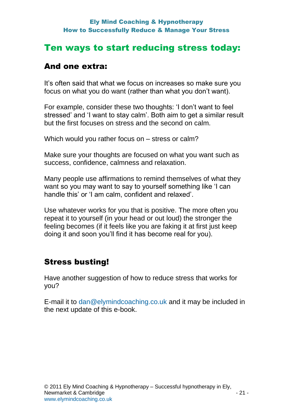### Ten ways to start reducing stress today:

### And one extra:

It's often said that what we focus on increases so make sure you focus on what you do want (rather than what you don't want).

For example, consider these two thoughts: 'I don't want to feel stressed' and 'I want to stay calm'. Both aim to get a similar result but the first focuses on stress and the second on calm.

Which would you rather focus on – stress or calm?

Make sure your thoughts are focused on what you want such as success, confidence, calmness and relaxation.

Many people use affirmations to remind themselves of what they want so you may want to say to yourself something like 'I can handle this' or 'I am calm, confident and relaxed'.

Use whatever works for you that is positive. The more often you repeat it to yourself (in your head or out loud) the stronger the feeling becomes (if it feels like you are faking it at first just keep doing it and soon you'll find it has become real for you).

### Stress busting!

Have another suggestion of how to reduce stress that works for you?

E-mail it to [dan@elymindcoaching.co.uk](mailto:dan@elymindcoaching.co.uk) and it may be included in the next update of this e-book.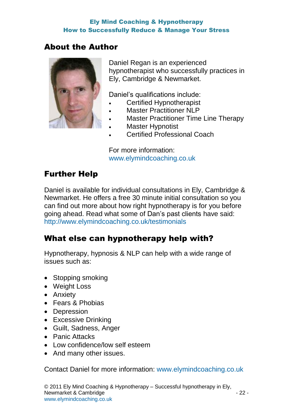### About the Author



Daniel Regan is an experienced hypnotherapist who successfully practices in Ely, Cambridge & Newmarket.

Daniel's qualifications include:

- Certified Hypnotherapist
- Master Practitioner NLP
- Master Practitioner Time Line Therapy
- Master Hypnotist
- Certified Professional Coach

For more information: [www.elymindcoaching.co.uk](http://www.elymindcoaching.co.uk/)

### Further Help

Daniel is available for individual consultations in Ely, Cambridge & Newmarket. He offers a free 30 minute initial consultation so you can find out more about how right hypnotherapy is for you before going ahead. Read what some of Dan's past clients have said: <http://www.elymindcoaching.co.uk/testimonials>

### What else can hypnotherapy help with?

Hypnotherapy, hypnosis & NLP can help with a wide range of issues such as:

- Stopping smoking
- Weight Loss
- Anxiety
- Fears & Phobias
- Depression
- Excessive Drinking
- Guilt, Sadness, Anger
- Panic Attacks
- Low confidence/low self esteem
- And many other issues.

Contact Daniel for more information: [www.elymindcoaching.co.uk](http://www.elymindcoaching.co.uk/)